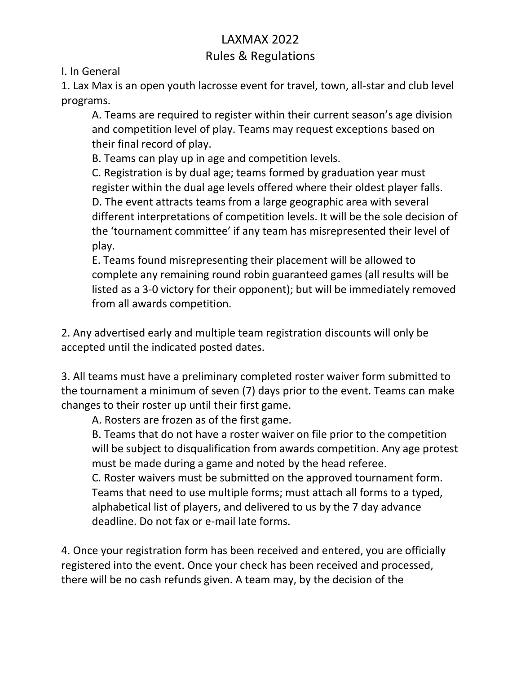## LAXMAX 2022 Rules & Regulations

I. In General

1. Lax Max is an open youth lacrosse event for travel, town, all-star and club level programs.

A. Teams are required to register within their current season's age division and competition level of play. Teams may request exceptions based on their final record of play.

B. Teams can play up in age and competition levels.

C. Registration is by dual age; teams formed by graduation year must register within the dual age levels offered where their oldest player falls. D. The event attracts teams from a large geographic area with several different interpretations of competition levels. It will be the sole decision of the 'tournament committee' if any team has misrepresented their level of play.

E. Teams found misrepresenting their placement will be allowed to complete any remaining round robin guaranteed games (all results will be listed as a 3-0 victory for their opponent); but will be immediately removed from all awards competition.

2. Any advertised early and multiple team registration discounts will only be accepted until the indicated posted dates.

3. All teams must have a preliminary completed roster waiver form submitted to the tournament a minimum of seven (7) days prior to the event. Teams can make changes to their roster up until their first game.

A. Rosters are frozen as of the first game.

B. Teams that do not have a roster waiver on file prior to the competition will be subject to disqualification from awards competition. Any age protest must be made during a game and noted by the head referee.

C. Roster waivers must be submitted on the approved tournament form. Teams that need to use multiple forms; must attach all forms to a typed, alphabetical list of players, and delivered to us by the 7 day advance deadline. Do not fax or e-mail late forms.

4. Once your registration form has been received and entered, you are officially registered into the event. Once your check has been received and processed, there will be no cash refunds given. A team may, by the decision of the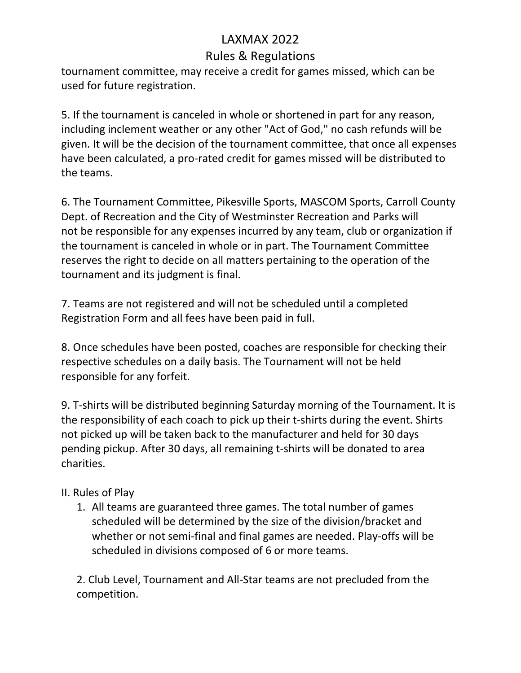## Rules & Regulations

tournament committee, may receive a credit for games missed, which can be used for future registration.

5. If the tournament is canceled in whole or shortened in part for any reason, including inclement weather or any other "Act of God," no cash refunds will be given. It will be the decision of the tournament committee, that once all expenses have been calculated, a pro-rated credit for games missed will be distributed to the teams.

6. The Tournament Committee, Pikesville Sports, MASCOM Sports, Carroll County Dept. of Recreation and the City of Westminster Recreation and Parks will not be responsible for any expenses incurred by any team, club or organization if the tournament is canceled in whole or in part. The Tournament Committee reserves the right to decide on all matters pertaining to the operation of the tournament and its judgment is final.

7. Teams are not registered and will not be scheduled until a completed Registration Form and all fees have been paid in full.

8. Once schedules have been posted, coaches are responsible for checking their respective schedules on a daily basis. The Tournament will not be held responsible for any forfeit.

9. T-shirts will be distributed beginning Saturday morning of the Tournament. It is the responsibility of each coach to pick up their t-shirts during the event. Shirts not picked up will be taken back to the manufacturer and held for 30 days pending pickup. After 30 days, all remaining t-shirts will be donated to area charities.

#### II. Rules of Play

1. All teams are guaranteed three games. The total number of games scheduled will be determined by the size of the division/bracket and whether or not semi-final and final games are needed. Play-offs will be scheduled in divisions composed of 6 or more teams.

2. Club Level, Tournament and All-Star teams are not precluded from the competition.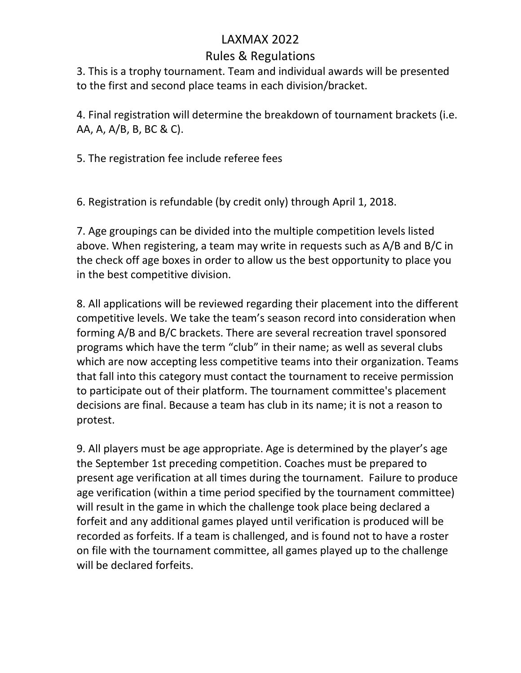## Rules & Regulations

3. This is a trophy tournament. Team and individual awards will be presented to the first and second place teams in each division/bracket.

4. Final registration will determine the breakdown of tournament brackets (i.e. AA, A, A/B, B, BC & C).

5. The registration fee include referee fees

6. Registration is refundable (by credit only) through April 1, 2018.

7. Age groupings can be divided into the multiple competition levels listed above. When registering, a team may write in requests such as A/B and B/C in the check off age boxes in order to allow us the best opportunity to place you in the best competitive division.

8. All applications will be reviewed regarding their placement into the different competitive levels. We take the team's season record into consideration when forming A/B and B/C brackets. There are several recreation travel sponsored programs which have the term "club" in their name; as well as several clubs which are now accepting less competitive teams into their organization. Teams that fall into this category must contact the tournament to receive permission to participate out of their platform. The tournament committee's placement decisions are final. Because a team has club in its name; it is not a reason to protest.

9. All players must be age appropriate. Age is determined by the player's age the September 1st preceding competition. Coaches must be prepared to present age verification at all times during the tournament. Failure to produce age verification (within a time period specified by the tournament committee) will result in the game in which the challenge took place being declared a forfeit and any additional games played until verification is produced will be recorded as forfeits. If a team is challenged, and is found not to have a roster on file with the tournament committee, all games played up to the challenge will be declared forfeits.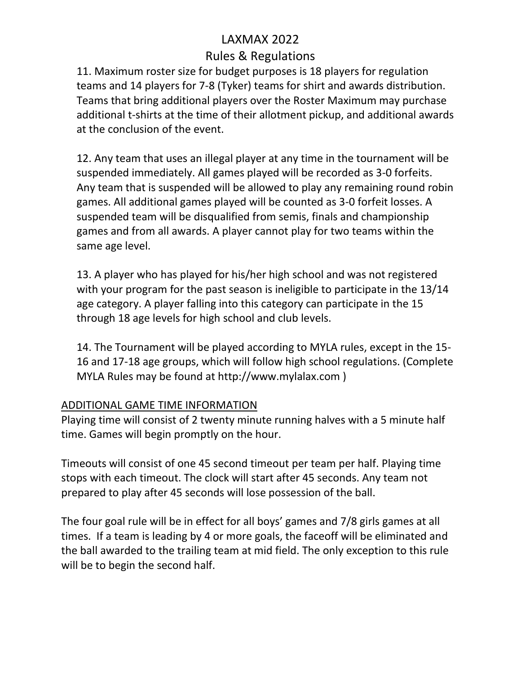### Rules & Regulations

11. Maximum roster size for budget purposes is 18 players for regulation teams and 14 players for 7-8 (Tyker) teams for shirt and awards distribution. Teams that bring additional players over the Roster Maximum may purchase additional t-shirts at the time of their allotment pickup, and additional awards at the conclusion of the event.

12. Any team that uses an illegal player at any time in the tournament will be suspended immediately. All games played will be recorded as 3-0 forfeits. Any team that is suspended will be allowed to play any remaining round robin games. All additional games played will be counted as 3-0 forfeit losses. A suspended team will be disqualified from semis, finals and championship games and from all awards. A player cannot play for two teams within the same age level.

13. A player who has played for his/her high school and was not registered with your program for the past season is ineligible to participate in the 13/14 age category. A player falling into this category can participate in the 15 through 18 age levels for high school and club levels.

14. The Tournament will be played according to MYLA rules, except in the 15- 16 and 17-18 age groups, which will follow high school regulations. (Complete MYLA Rules may be found at http://www.mylalax.com )

#### ADDITIONAL GAME TIME INFORMATION

Playing time will consist of 2 twenty minute running halves with a 5 minute half time. Games will begin promptly on the hour.

Timeouts will consist of one 45 second timeout per team per half. Playing time stops with each timeout. The clock will start after 45 seconds. Any team not prepared to play after 45 seconds will lose possession of the ball.

The four goal rule will be in effect for all boys' games and 7/8 girls games at all times. If a team is leading by 4 or more goals, the faceoff will be eliminated and the ball awarded to the trailing team at mid field. The only exception to this rule will be to begin the second half.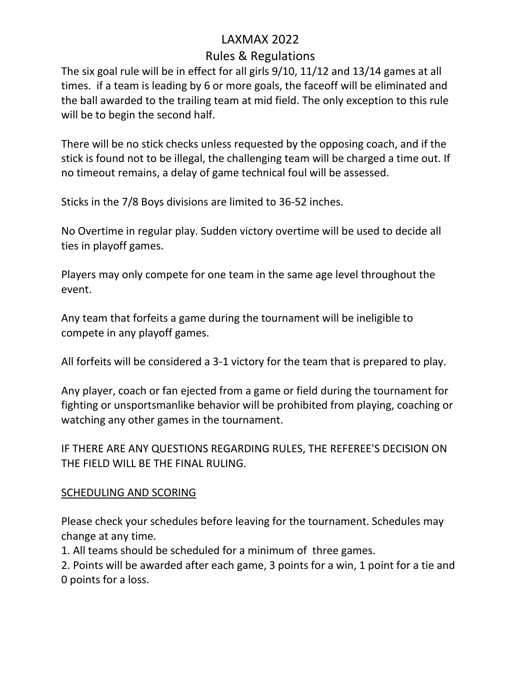## LAXMAX 2022 Rules & Regulations

The six goal rule will be in effect for all girls 9/10, 11/12 and 13/14 games at all times. if a team is leading by 6 or more goals, the faceoff will be eliminated and the ball awarded to the trailing team at mid field. The only exception to this rule will be to begin the second half.

There will be no stick checks unless requested by the opposing coach, and if the stick is found not to be illegal, the challenging team will be charged a time out. If no timeout remains, a delay of game technical foul will be assessed.

Sticks in the 7/8 Boys divisions are limited to 36-52 inches.

No Overtime in regular play. Sudden victory overtime will be used to decide all ties in playoff games.

Players may only compete for one team in the same age level throughout the event.

Any team that forfeits a game during the tournament will be ineligible to compete in any playoff games.

All forfeits will be considered a 3-1 victory for the team that is prepared to play.

Any player, coach or fan ejected from a game or field during the tournament for fighting or unsportsmanlike behavior will be prohibited from playing, coaching or watching any other games in the tournament.

IF THERE ARE ANY QUESTIONS REGARDING RULES, THE REFEREE'S DECISION ON THE FIELD WILL BE THE FINAL RULING.

#### SCHEDULING AND SCORING

Please check your schedules before leaving for the tournament. Schedules may change at any time.

1. All teams should be scheduled for a minimum of three games.

2. Points will be awarded after each game, 3 points for a win, 1 point for a tie and 0 points for a loss.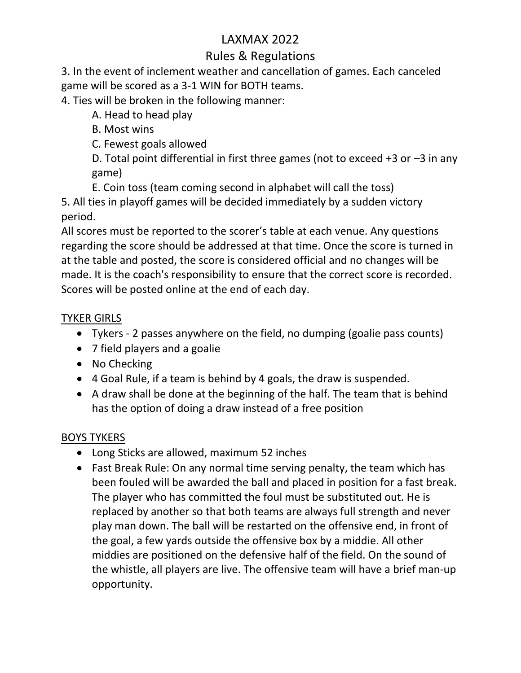## Rules & Regulations

3. In the event of inclement weather and cancellation of games. Each canceled game will be scored as a 3-1 WIN for BOTH teams.

4. Ties will be broken in the following manner:

A. Head to head play

B. Most wins

C. Fewest goals allowed

D. Total point differential in first three games (not to exceed +3 or –3 in any game)

E. Coin toss (team coming second in alphabet will call the toss)

5. All ties in playoff games will be decided immediately by a sudden victory period.

All scores must be reported to the scorer's table at each venue. Any questions regarding the score should be addressed at that time. Once the score is turned in at the table and posted, the score is considered official and no changes will be made. It is the coach's responsibility to ensure that the correct score is recorded. Scores will be posted online at the end of each day.

### TYKER GIRLS

- Tykers 2 passes anywhere on the field, no dumping (goalie pass counts)
- 7 field players and a goalie
- No Checking
- 4 Goal Rule, if a team is behind by 4 goals, the draw is suspended.
- A draw shall be done at the beginning of the half. The team that is behind has the option of doing a draw instead of a free position

#### BOYS TYKERS

- Long Sticks are allowed, maximum 52 inches
- Fast Break Rule: On any normal time serving penalty, the team which has been fouled will be awarded the ball and placed in position for a fast break. The player who has committed the foul must be substituted out. He is replaced by another so that both teams are always full strength and never play man down. The ball will be restarted on the offensive end, in front of the goal, a few yards outside the offensive box by a middie. All other middies are positioned on the defensive half of the field. On the sound of the whistle, all players are live. The offensive team will have a brief man-up opportunity.